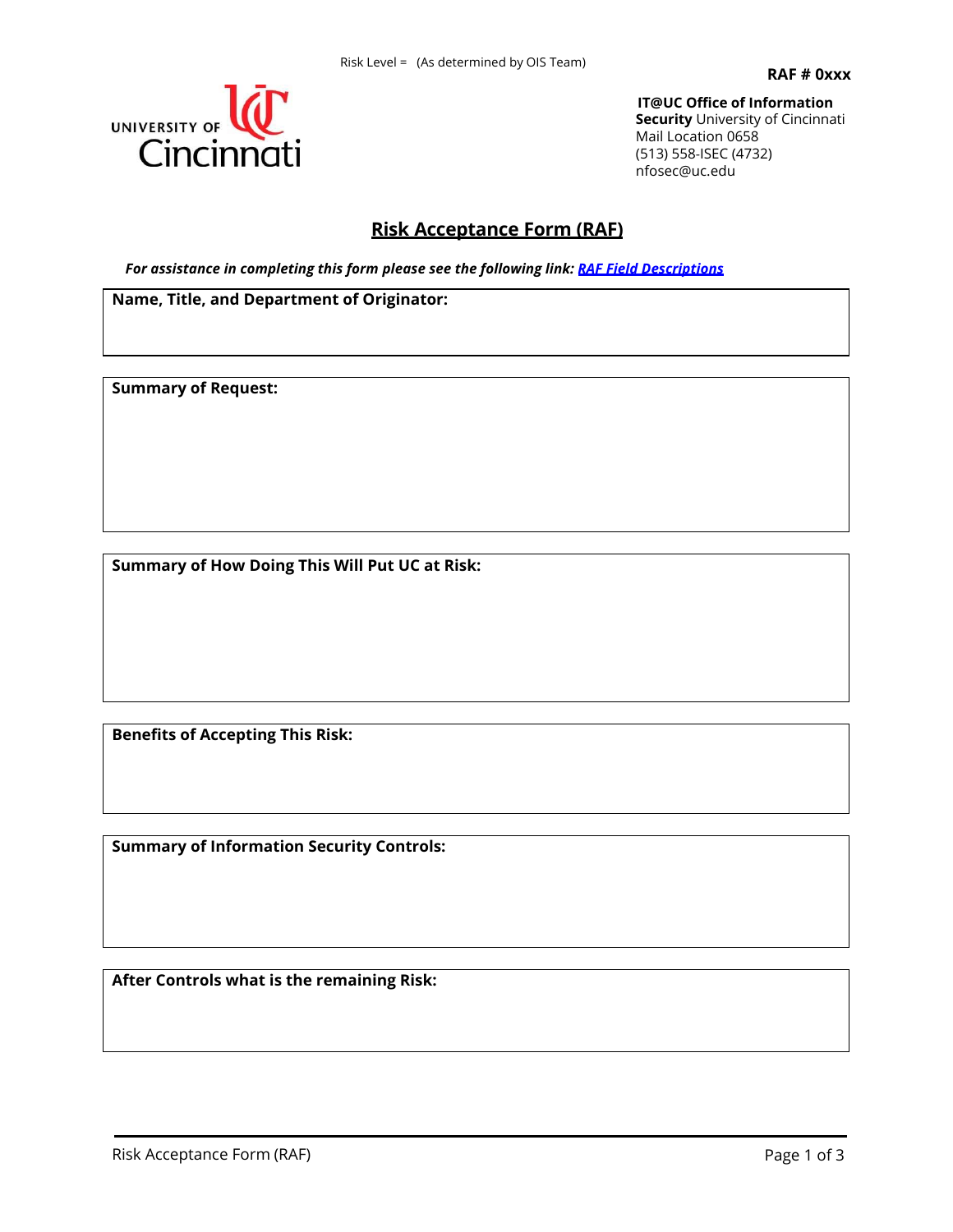

, 7#8 & 2 I I L FRH, Q I R U P D6WHLFRXQU L W \ 8QLYH**BKLWF**LQQDWL 0DL**QFDWLRQ** ,6(& LQIR#VXHFHGX

## **Risk Acceptance Form (RAF)**

*For assistance in completing this form please see the following link: RAF Field [Descriptions](http://www.uc.edu/content/dam/uc/infosec/docs/general/RAF_Field_Descriptions.pdf)*

**Name, Title, and Department of Originator:**

**Summary of Request:**

**Summary of How Doing This Will Put UC at Risk:**

**Benefits of Accepting This Risk:**

**Summary of Information Security Controls:**

**After Controls what is the remaining Risk:**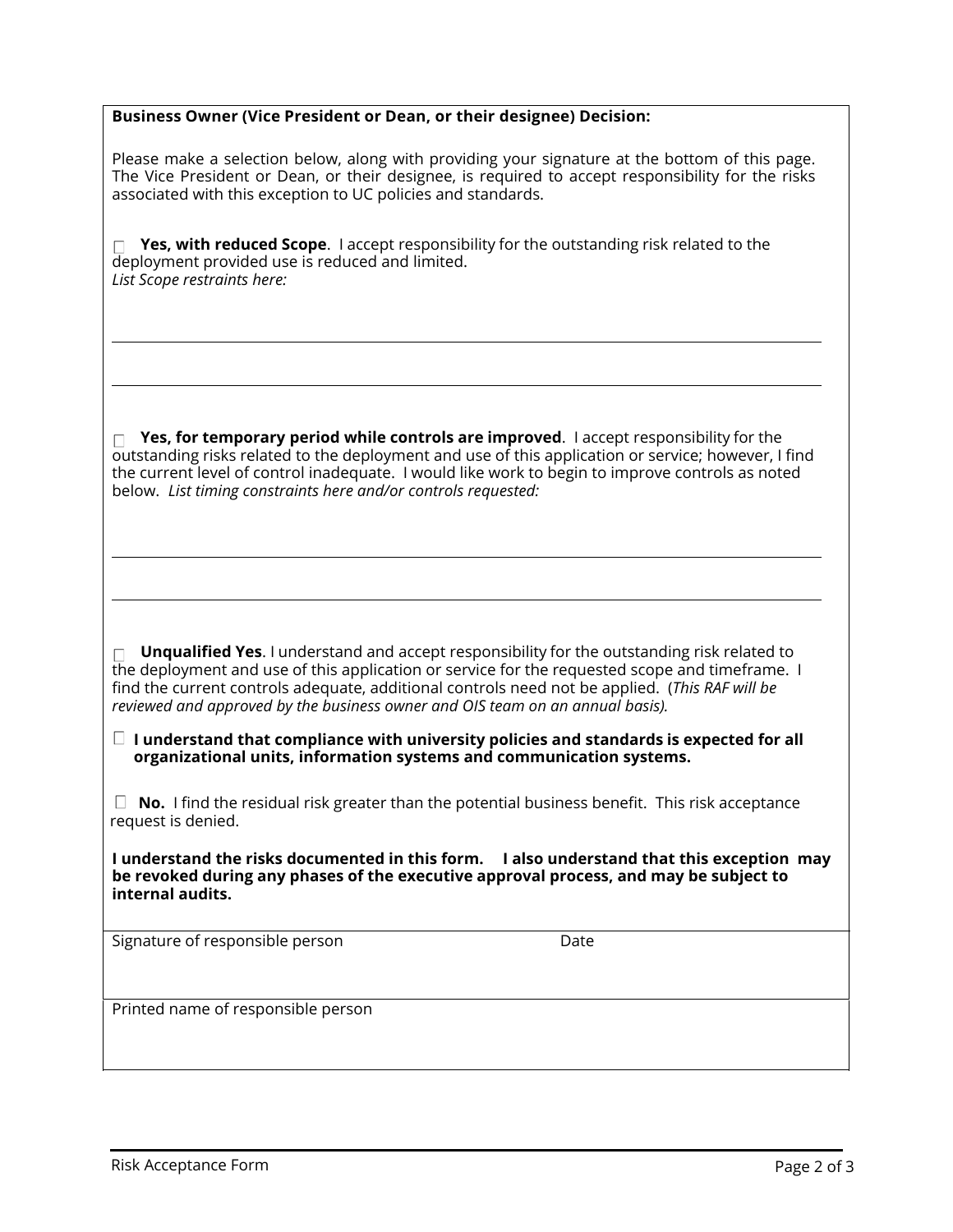| Business Owner (Vice President or Dean, or their designee) Decision:                                                                                                                                                                                                                                                                                                             |  |  |
|----------------------------------------------------------------------------------------------------------------------------------------------------------------------------------------------------------------------------------------------------------------------------------------------------------------------------------------------------------------------------------|--|--|
| Please make a selection below, along with providing your signature at the bottom of this page.<br>The Vice President or Dean, or their designee, is required to accept responsibility for the risks<br>associated with this exception to UC policies and standards.                                                                                                              |  |  |
| Yes, with reduced Scope. I accept responsibility for the outstanding risk related to the<br>deployment provided use is reduced and limited.<br>List Scope restraints here:                                                                                                                                                                                                       |  |  |
|                                                                                                                                                                                                                                                                                                                                                                                  |  |  |
| $\Box$ Yes, for temporary period while controls are improved. I accept responsibility for the<br>outstanding risks related to the deployment and use of this application or service; however, I find<br>the current level of control inadequate. I would like work to begin to improve controls as noted<br>below. List timing constraints here and/or controls requested:       |  |  |
|                                                                                                                                                                                                                                                                                                                                                                                  |  |  |
| Unqualified Yes. I understand and accept responsibility for the outstanding risk related to<br>the deployment and use of this application or service for the requested scope and timeframe. I<br>find the current controls adequate, additional controls need not be applied. (This RAF will be<br>reviewed and approved by the business owner and OIS team on an annual basis). |  |  |
| $\Box$ I understand that compliance with university policies and standards is expected for all<br>organizational units, information systems and communication systems.                                                                                                                                                                                                           |  |  |
| No. I find the residual risk greater than the potential business benefit. This risk acceptance<br>request is denied.                                                                                                                                                                                                                                                             |  |  |
| I understand the risks documented in this form. I also understand that this exception may<br>be revoked during any phases of the executive approval process, and may be subject to<br>internal audits.                                                                                                                                                                           |  |  |
| Signature of responsible person<br>Date                                                                                                                                                                                                                                                                                                                                          |  |  |
| Printed name of responsible person                                                                                                                                                                                                                                                                                                                                               |  |  |
|                                                                                                                                                                                                                                                                                                                                                                                  |  |  |